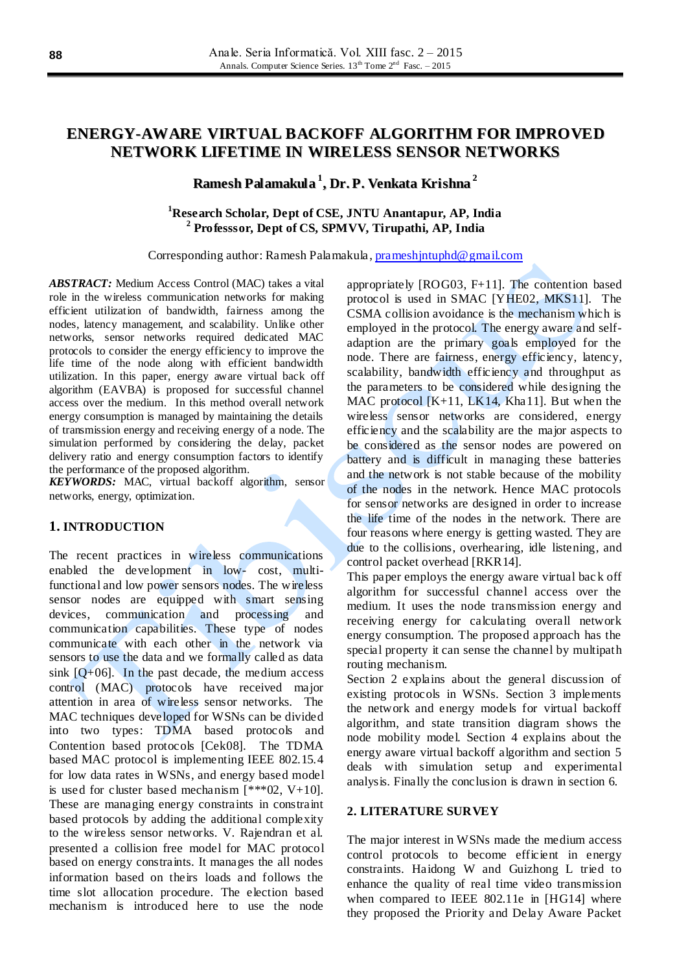# **ENERGY-AWARE VIRTUAL BACKOFF ALGORITHM FOR IMPROVED NETWORK LIFETIME IN WIRELESS SENSOR NETWORKS**

# **Ramesh Palamakula 1 , Dr. P. Venkata Krishna 2**

# **<sup>1</sup>Research Scholar, Dept of CSE, JNTU Anantapur, AP, India 2 Professsor, Dept of CS, SPMVV, Tirupathi, AP, India**

Corresponding author: Ramesh Palamakula , [prameshjntuphd@gmail.com](mailto:prameshjntuphd@gmail.com)

*ABSTRACT:* Medium Access Control (MAC) takes a vital role in the wireless communication networks for making efficient utilization of bandwidth, fairness among the nodes, latency management, and scalability. Unlike other networks, sensor networks required dedicated MAC protocols to consider the energy efficiency to improve the life time of the node along with efficient bandwidth utilization. In this paper, energy aware virtual back off algorithm (EAVBA) is proposed for successful channel access over the medium. In this method overall network energy consumption is managed by maintaining the details of transmission energy and receiving energy of a node. The simulation performed by considering the delay, packet delivery ratio and energy consumption factors to identify the performance of the proposed algorithm.

*KEYWORDS:* MAC, virtual backoff algorithm, sensor networks, energy, optimization.

## **1. INTRODUCTION**

The recent practices in wireless communications enabled the development in low- cost, multifunctional and low power sensors nodes. The wireless sensor nodes are equipped with smart sensing devices, communication and processing and communication capabilities. These type of nodes communicate with each other in the network via sensors to use the data and we formally called as data sink  $[Q+06]$ . In the past decade, the medium access control (MAC) protocols have received major attention in area of wireless sensor networks. The MAC techniques developed for WSNs can be divided into two types: TDMA based protocols and Contention based protocols [Cek08]. The TDMA based MAC protocol is implementing IEEE 802.15.4 for low data rates in WSNs, and energy based model is used for cluster based mechanism  $[***02, V+10]$ . These are managing energy constraints in constraint based protocols by adding the additional complexity to the wireless sensor networks. V. Rajendran et al. presented a collision free model for MAC protocol based on energy constraints. It manages the all nodes information based on theirs loads and follows the time slot allocation procedure. The election based mechanism is introduced here to use the node

appropriately [ROG03, F+11]. The contention based protocol is used in SMAC [YHE02, MKS11]. The CSMA collision avoidance is the mechanism which is employed in the protocol. The energy aware and selfadaption are the primary goals employed for the node. There are fairness, energy efficiency, latency, scalability, bandwidth efficiency and throughput as the parameters to be considered while designing the MAC protocol  $[K+11, LK14, Kha11]$ . But when the wireless sensor networks are considered, energy efficiency and the scalability are the major aspects to be considered as the sensor nodes are powered on battery and is difficult in managing these batteries and the network is not stable because of the mobility of the nodes in the network. Hence MAC protocols for sensor networks are designed in order to increase the life time of the nodes in the network. There are four reasons where energy is getting wasted. They are due to the collisions, overhearing, idle listening, and control packet overhead [RKR14].

This paper employs the energy aware virtual bac k off algorithm for successful channel access over the medium. It uses the node transmission energy and receiving energy for calculating overall network energy consumption. The proposed approach has the special property it can sense the channel by multipath routing mechanism.

Section 2 explains about the general discussion of existing protocols in WSNs. Section 3 implements the network and energy models for virtual backoff algorithm, and state transition diagram shows the node mobility model. Section 4 explains about the energy aware virtual backoff algorithm and section 5 deals with simulation setup and experimental analysis. Finally the conclusion is drawn in section 6.

#### **2. LITERATURE SURVEY**

The major interest in WSNs made the medium access control protocols to become efficient in energy constraints. Haidong W and Guizhong L tried to enhance the quality of real time video transmission when compared to IEEE 802.11e in [HG14] where they proposed the Priority and Delay Aware Packet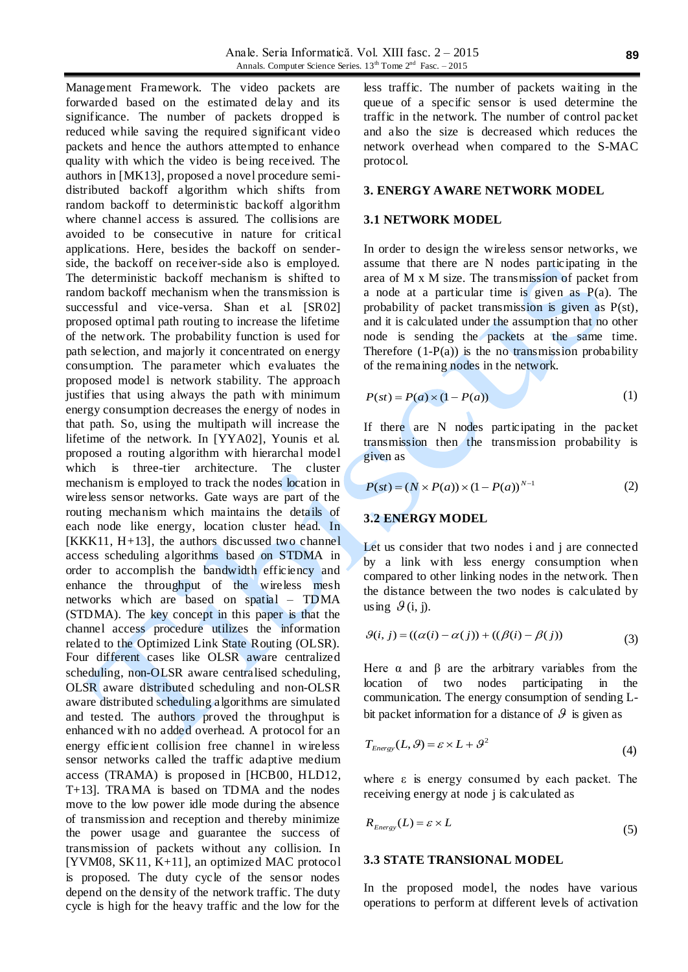Management Framework. The video packets are forwarded based on the estimated delay and its significance. The number of packets dropped is reduced while saving the required significant video packets and hence the authors attempted to enhance quality with which the video is being received. The authors in [MK13], proposed a novel procedure semidistributed backoff algorithm which shifts from random backoff to deterministic backoff algorithm where channel access is assured. The collisions are avoided to be consecutive in nature for critical applications. Here, besides the backoff on senderside, the backoff on receiver-side also is employed. The deterministic backoff mechanism is shifted to random backoff mechanism when the transmission is successful and vice-versa. Shan et al. [SR02] proposed optimal path routing to increase the lifetime of the network. The probability function is used for path selection, and majorly it concentrated on energy consumption. The parameter which evaluates the proposed model is network stability. The approach justifies that using always the path with minimum energy consumption decreases the energy of nodes in that path. So, using the multipath will increase the lifetime of the network. In [YYA02], Younis et al. proposed a routing algorithm with hierarchal model which is three-tier architecture. The cluster mechanism is employed to track the nodes location in wireless sensor networks. Gate ways are part of the routing mechanism which maintains the details of each node like energy, location cluster head. In  $[KKK11, H+13]$ , the authors discussed two channel access scheduling algorithms based on STDMA in order to accomplish the bandwidth efficiency and enhance the throughput of the wireless mesh networks which are based on spatial – TDMA (STDMA). The key concept in this paper is that the channel access procedure utilizes the information related to the Optimized Link State Routing (OLSR). Four different cases like OLSR aware centralized scheduling, non-OLSR aware centralised scheduling, OLSR aware distributed scheduling and non-OLSR aware distributed scheduling algorithms are simulated and tested. The authors proved the throughput is enhanced with no added overhead. A protocol for an energy efficient collision free channel in wireless sensor networks called the traffic adaptive medium access (TRAMA) is proposed in [HCB00, HLD12, T+13]. TRAMA is based on TDMA and the nodes move to the low power idle mode during the absence of transmission and reception and thereby minimize the power usage and guarantee the success of transmission of packets without any collision. In [YVM08, SK11, K+11], an optimized MAC protocol is proposed. The duty cycle of the sensor nodes depend on the density of the network traffic. The duty cycle is high for the heavy traffic and the low for the

less traffic. The number of packets waiting in the queue of a specific sensor is used determine the traffic in the network. The number of control packet and also the size is decreased which reduces the network overhead when compared to the S-MAC protocol.

#### **3. ENERGY AWARE NETWORK MODEL**

#### **3.1 NETWORK MODEL**

In order to design the wireless sensor networks, we assume that there are N nodes participating in the area of M x M size. The transmission of packet from a node at a particular time is given as P(a). The probability of packet transmission is given as P(st), and it is calculated under the assumption that no other node is sending the packets at the same time. Therefore  $(1-P(a))$  is the no transmission probability of the remaining nodes in the network.

$$
P(st) = P(a) \times (1 - P(a))
$$
 (1)

If there are N nodes participating in the packet transmission then the transmission probability is given as

$$
P(st) = (N \times P(a)) \times (1 - P(a))^{N-1}
$$
 (2)

### **3.2 ENERGY MODEL**

Let us consider that two nodes i and j are connected by a link with less energy consumption when compared to other linking nodes in the network. Then the distance between the two nodes is calculated by using  $\mathcal{G}(i, j)$ .

$$
\mathcal{G}(i, j) = ((\alpha(i) - \alpha(j)) + ((\beta(i) - \beta(j)))
$$
\n(3)

Here  $\alpha$  and  $\beta$  are the arbitrary variables from the location of two nodes participating in the communication. The energy consumption of sending Lbit packet information for a distance of  $\mathcal{G}$  is given as

$$
T_{Energy}(L, \mathcal{G}) = \varepsilon \times L + \mathcal{G}^2
$$
\n(4)

where  $\varepsilon$  is energy consumed by each packet. The receiving energy at node j is calculated as

$$
R_{\text{Energy}}(L) = \varepsilon \times L \tag{5}
$$

#### **3.3 STATE TRANSIONAL MODEL**

In the proposed model, the nodes have various operations to perform at different levels of activation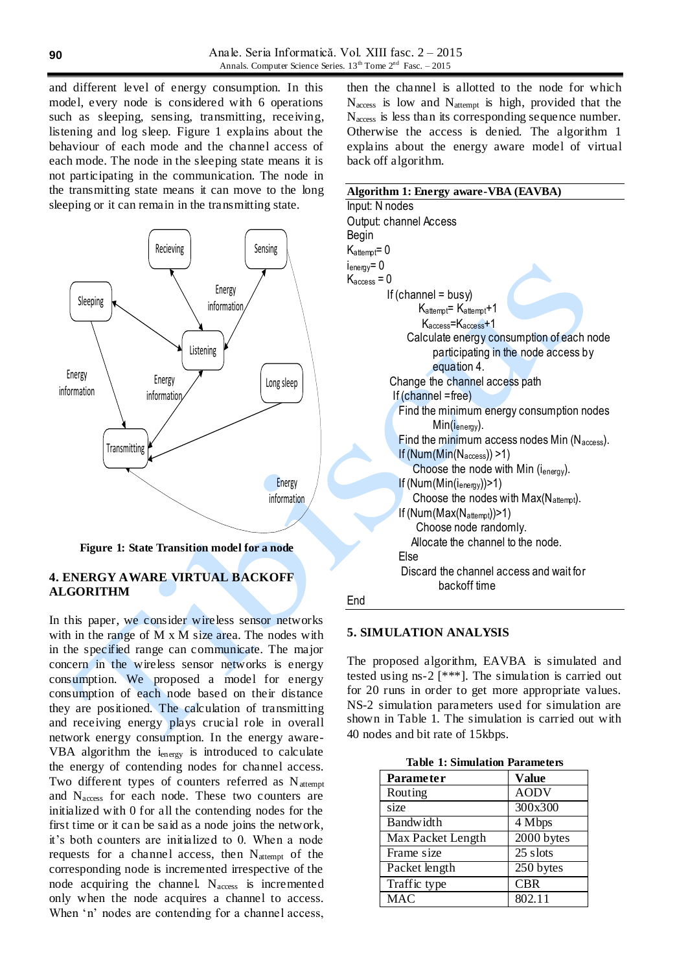and different level of energy consumption. In this model, every node is considered with 6 operations such as sleeping, sensing, transmitting, receiving, listening and log sleep. Figure 1 explains about the behaviour of each mode and the channel access of each mode. The node in the sleeping state means it is not participating in the communication. The node in the transmitting state means it can move to the long sleeping or it can remain in the transmitting state.



**Figure 1: State Transition model for a node**

# **4. ENERGY AWARE VIRTUAL BACKOFF ALGORITHM**

In this paper, we consider wireless sensor networks with in the range of M x M size area. The nodes with in the specified range can communicate. The major concern in the wireless sensor networks is energy consumption. We proposed a model for energy consumption of each node based on their distance they are positioned. The calculation of transmitting and receiving energy plays crucial role in overall network energy consumption. In the energy aware-VBA algorithm the  $i_{energy}$  is introduced to calculate the energy of contending nodes for channel access. Two different types of counters referred as  $N_{\text{attempt}}$ and Naccess for each node. These two counters are initialized with 0 for all the contending nodes for the first time or it can be said as a node joins the network, it's both counters are initialized to 0. When a node requests for a channel access, then  $N_{\text{attempt}}$  of the corresponding node is incremented irrespective of the node acquiring the channel.  $N_{access}$  is incremented only when the node acquires a channel to access. When 'n' nodes are contending for a channel access,

then the channel is allotted to the node for which  $N_{access}$  is low and  $N_{attention}$  is high, provided that the  $N<sub>access</sub>$  is less than its corresponding sequence number. Otherwise the access is denied. The algorithm 1 explains about the energy aware model of virtual back off algorithm.

| Algorithm 1: Energy aware-VBA (EAVBA)             |  |  |  |
|---------------------------------------------------|--|--|--|
| Input: N nodes                                    |  |  |  |
| Output: channel Access                            |  |  |  |
| Begin                                             |  |  |  |
| $K_{\text{attempt}} = 0$                          |  |  |  |
| i <sub>energy</sub> = 0                           |  |  |  |
| $\mathsf{K}_{\rm access}$ = 0                     |  |  |  |
| If $(charnel = busy)$                             |  |  |  |
| Kattempt= Kattempt+1                              |  |  |  |
| $Kaccess=Kaccess+1$                               |  |  |  |
| Calculate energy consumption of each node         |  |  |  |
| participating in the node access by               |  |  |  |
| equation 4.                                       |  |  |  |
| Change the channel access path                    |  |  |  |
| If (channel =free)                                |  |  |  |
| Find the minimum energy consumption nodes         |  |  |  |
| $Min(i_{\text{energy}})$ .                        |  |  |  |
| Find the minimum access nodes Min (Naccess).      |  |  |  |
| If (Num(Min(Naccess)) >1)                         |  |  |  |
| Choose the node with Min $(i_{\text{energy}})$ .  |  |  |  |
| If $(Num(Min(i_{\text{energy}}))>1)$              |  |  |  |
| Choose the nodes with $Max(N_{\text{attempt}})$ . |  |  |  |
| If (Num(Max(Nattempt))>1)                         |  |  |  |
| Choose node randomly.                             |  |  |  |
| Allocate the channel to the node.                 |  |  |  |
| Else                                              |  |  |  |
| Discard the channel access and wait for           |  |  |  |
| backoff time                                      |  |  |  |
| End                                               |  |  |  |

### **5. SIMULATION ANALYSIS**

The proposed algorithm, EAVBA is simulated and tested using ns-2  $[***]$ . The simulation is carried out for 20 runs in order to get more appropriate values. NS-2 simulation parameters used for simulation are shown in Table 1. The simulation is carried out with 40 nodes and bit rate of 15kbps.

|  |  |  | <b>Table 1: Simulation Parameters</b> |
|--|--|--|---------------------------------------|
|--|--|--|---------------------------------------|

| <b>Parameter</b>  | <b>Value</b> |
|-------------------|--------------|
| Routing           | <b>AODV</b>  |
| size              | 300x300      |
| Bandwidth         | 4 Mbps       |
| Max Packet Length | 2000 bytes   |
| Frame size        | 25 slots     |
| Packet length     | 250 bytes    |
| Traffic type      | <b>CBR</b>   |
| <b>MAC</b>        | 802.11       |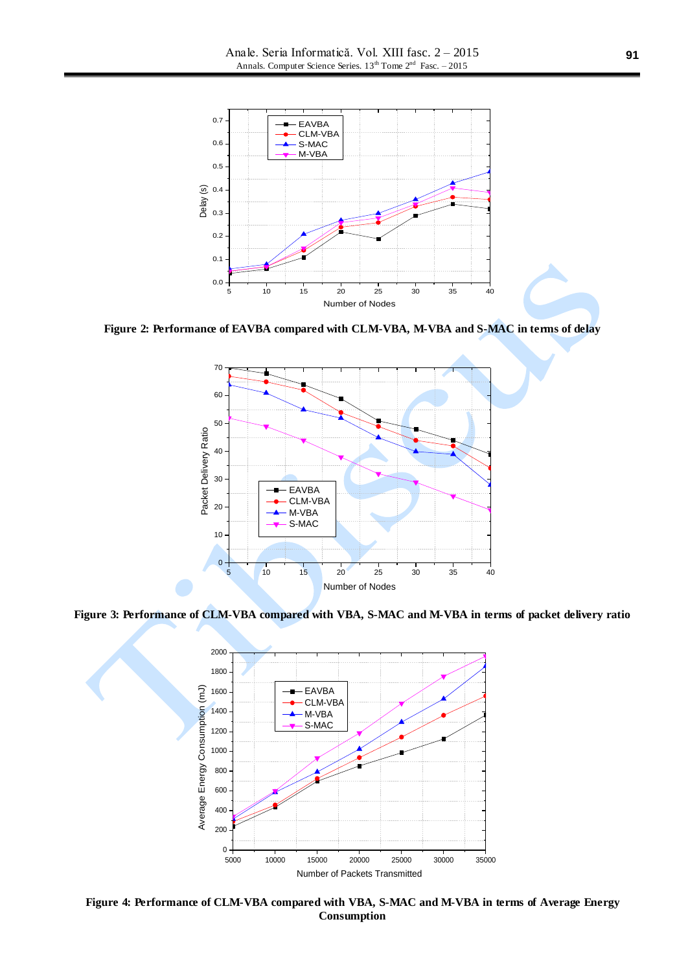

**Figure 2: Performance of EAVBA compared with CLM-VBA, M-VBA and S-MAC in terms of delay**



**Figure 3: Performance of CLM-VBA compared with VBA, S-MAC and M-VBA in terms of packet delivery ratio**



**Figure 4: Performance of CLM-VBA compared with VBA, S-MAC and M-VBA in terms of Average Energy Consumption**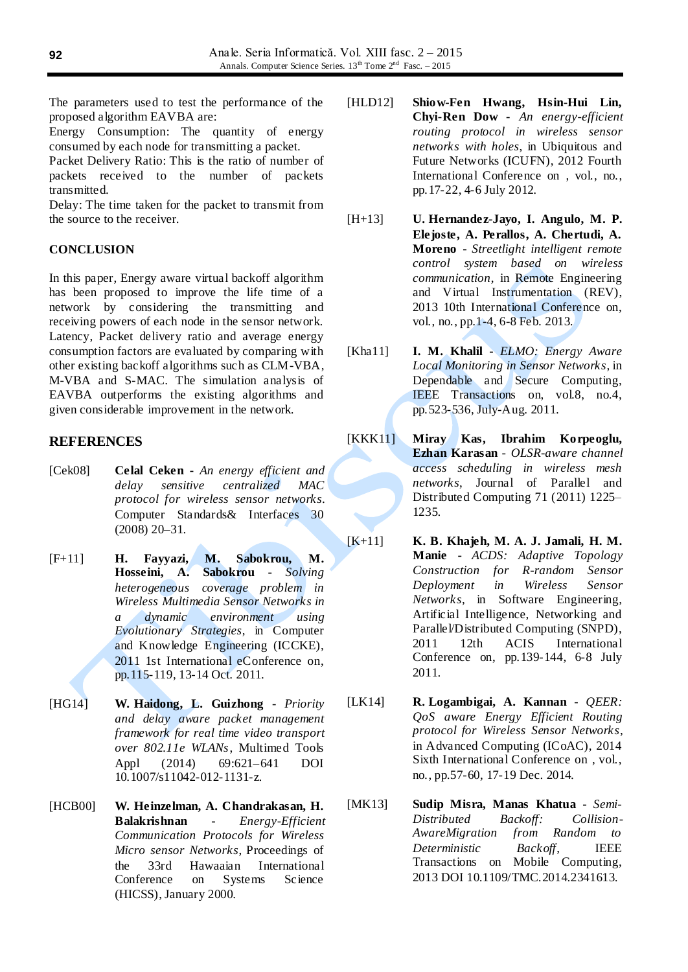The parameters used to test the performance of the proposed algorithm EAVBA are:

Energy Consumption: The quantity of energy consumed by each node for transmitting a packet.

Packet Delivery Ratio: This is the ratio of number of packets received to the number of packets transmitted.

Delay: The time taken for the packet to transmit from the source to the receiver.

## **CONCLUSION**

In this paper, Energy aware virtual backoff algorithm has been proposed to improve the life time of a network by considering the transmitting and receiving powers of each node in the sensor network. Latency, Packet delivery ratio and average energy consumption factors are evaluated by comparing with other existing backoff algorithms such as CLM-VBA, M-VBA and S-MAC. The simulation analysis of EAVBA outperforms the existing algorithms and given considerable improvement in the network.

# **REFERENCES**

- [Cek08] **Celal Ceken -** *An energy efficient and delay sensitive centralized MAC protocol for wireless sensor networks*. Computer Standards& Interfaces 30 (2008) 20–31.
- [F+11] **H. Fayyazi, M. Sabokrou, M. Hosseini, A. Sabokrou -** *Solving heterogeneous coverage problem in Wireless Multimedia Sensor Networks in a dynamic environment using Evolutionary Strategies*, in Computer and Knowledge Engineering (ICCKE), 2011 1st International eConference on, pp.115-119, 13-14 Oct. 2011.
- [HG14] **W. Haidong, L. Guizhong -** *Priority and delay aware packet management framework for real time video transport over 802.11e WLANs*, Multimed Tools<br>Appl (2014) 69:621–641 DOI Appl (2014) 69:621–641 DOI 10.1007/s11042-012-1131-z.
- [HCB00] **W. Heinzelman, A. Chandrakasan, H. Balakrishnan -** *Energy-Efficient Communication Protocols for Wireless Micro sensor Networks*, Proceedings of the 33rd Hawaaian International Conference on Systems Science (HICSS), January 2000.
- [HLD12] **Shiow-Fen Hwang, Hsin-Hui Lin, Chyi-Ren Dow -** *An energy-efficient routing protocol in wireless sensor networks with holes*, in Ubiquitous and Future Networks (ICUFN), 2012 Fourth International Conference on , vol., no., pp.17-22, 4-6 July 2012.
- [H+13] **U. Hernandez-Jayo, I. Angulo, M. P. Elejoste, A. Perallos, A. Chertudi, A. Moreno -** *Streetlight intelligent remote control system based on wireless communication*, in Remote Engineering and Virtual Instrumentation (REV), 2013 10th International Conference on, vol., no., pp.1-4, 6-8 Feb. 2013.
- [Kha11] **I. M. Khalil -** *ELMO: Energy Aware Local Monitoring in Sensor Networks*, in Dependable and Secure Computing, IEEE Transactions on, vol.8, no.4, pp.523-536, July-Aug. 2011.
- [KKK11] **Miray Kas, Ibrahim Korpeoglu, Ezhan Karasan** - *OLSR-aware channel access scheduling in wireless mesh networks*, Journal of Parallel and Distributed Computing 71 (2011) 1225– 1235.
- [K+11] **K. B. Khajeh, M. A. J. Jamali, H. M. Manie -** *ACDS: Adaptive Topology Construction for R-random Sensor Deployment in Wireless Sensor Networks*, in Software Engineering, Artificial Intelligence, Networking and Parallel/Distributed Computing (SNPD), 2011 12th ACIS International Conference on, pp.139-144, 6-8 July 2011.
- [LK14] **R. Logambigai, A. Kannan -** *QEER: QoS aware Energy Efficient Routing protocol for Wireless Sensor Networks*, in Advanced Computing (ICoAC), 2014 Sixth International Conference on , vol., no., pp.57-60, 17-19 Dec. 2014.
- [MK13] **Sudip Misra, Manas Khatua -** *Semi-Distributed Backoff: Collision-AwareMigration from Random to Deterministic Backoff*, IEEE Transactions on Mobile Computing, 2013 DOI 10.1109/TMC.2014.2341613.